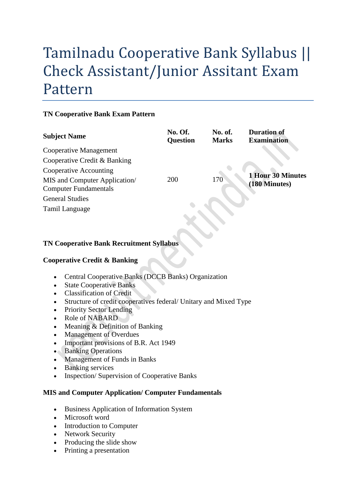# Tamilnadu Cooperative Bank Syllabus || Check Assistant/Junior Assitant Exam Pattern

#### **TN Cooperative Bank Exam Pattern**

| <b>Subject Name</b>                                           | No. Of.<br><b>Question</b> | No. of.<br><b>Marks</b> | <b>Duration of</b><br><b>Examination</b> |
|---------------------------------------------------------------|----------------------------|-------------------------|------------------------------------------|
| Cooperative Management                                        |                            |                         |                                          |
| Cooperative Credit & Banking                                  |                            |                         |                                          |
| Cooperative Accounting                                        |                            |                         |                                          |
| MIS and Computer Application/<br><b>Computer Fundamentals</b> | 200                        | 170                     | 1 Hour 30 Minutes<br>(180 Minutes)       |
| <b>General Studies</b>                                        |                            |                         |                                          |
| Tamil Language                                                |                            |                         |                                          |

## **TN Cooperative Bank Recruitment Syllabus**

#### **Cooperative Credit & Banking**

- Central Cooperative Banks (DCCB Banks) Organization
- State Cooperative Banks
- Classification of Credit
- Structure of credit cooperatives federal/ Unitary and Mixed Type
- Priority Sector Lending
- Role of NABARD
- Meaning  $&$  Definition of Banking
- Management of Overdues
- Important provisions of B.R. Act 1949
- Banking Operations
- Management of Funds in Banks
- Banking services
- Inspection/ Supervision of Cooperative Banks

#### **MIS and Computer Application/ Computer Fundamentals**

- Business Application of Information System
- Microsoft word
- Introduction to Computer
- Network Security
- Producing the slide show
- Printing a presentation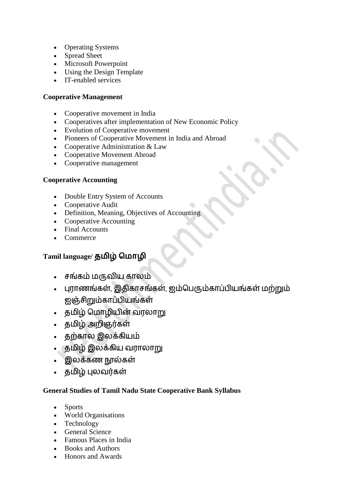- Operating Systems
- Spread Sheet
- Microsoft Powerpoint
- Using the Design Template
- IT-enabled services

#### **Cooperative Management**

- Cooperative movement in India
- Cooperatives after implementation of New Economic Policy
- Evolution of Cooperative movement
- Pioneers of Cooperative Movement in India and Abroad
- Cooperative Administration & Law
- Cooperative Movement Abroad
- Cooperative management

#### **Cooperative Accounting**

- Double Entry System of Accounts
- Cooperative Audit
- Definition, Meaning, Objectives of Accounting
- Cooperative Accounting
- Final Accounts
- Commerce

## **Tamil language/ தமிழ் மமொழி**

- சங்கம் மருவிய காலம்
- புராணங்கள், இதிகாசங்கள், ஐம்பெரும்காப்பியங்கள் மற்றும் ஐஞ்சிறும்காப்பியங்கள்
- தமிழ் பமாழியின் வரலாறு
- தமிழ் அறிஞர்கள்
- தற்கால இலக்கியம்
- தமிழ் இலக்கிய வராலாறு
- இலக்கணநூல்கள்
- தமிழ் புலவர்கள்

### **General Studies of Tamil Nadu State Cooperative Bank Syllabus**

- Sports
- World Organisations
- Technology
- General Science
- Famous Places in India
- Books and Authors
- Honors and Awards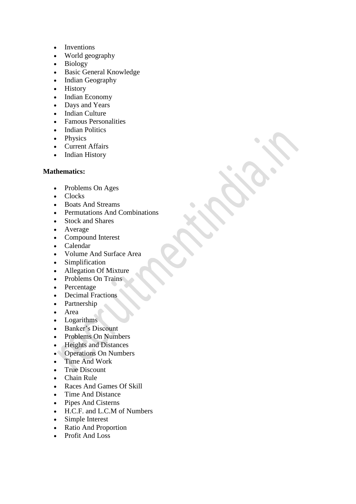- Inventions
- World geography
- Biology
- Basic General Knowledge
- Indian Geography
- History
- Indian Economy
- Days and Years
- Indian Culture
- Famous Personalities
- Indian Politics
- Physics
- Current Affairs
- Indian History

#### **Mathematics:**

- Problems On Ages
- Clocks
- Boats And Streams
- Permutations And Combinations
- Stock and Shares
- Average
- Compound Interest
- Calendar
- Volume And Surface Area
- Simplification
- Allegation Of Mixture
- Problems On Trains
- Percentage
- Decimal Fractions
- Partnership
- Area
- Logarithms
- Banker's Discount
- Problems On Numbers
- Heights and Distances
- Operations On Numbers
- Time And Work
- True Discount
- Chain Rule
- Races And Games Of Skill
- Time And Distance
- Pipes And Cisterns
- H.C.F. and L.C.M of Numbers
- Simple Interest
- Ratio And Proportion
- Profit And Loss